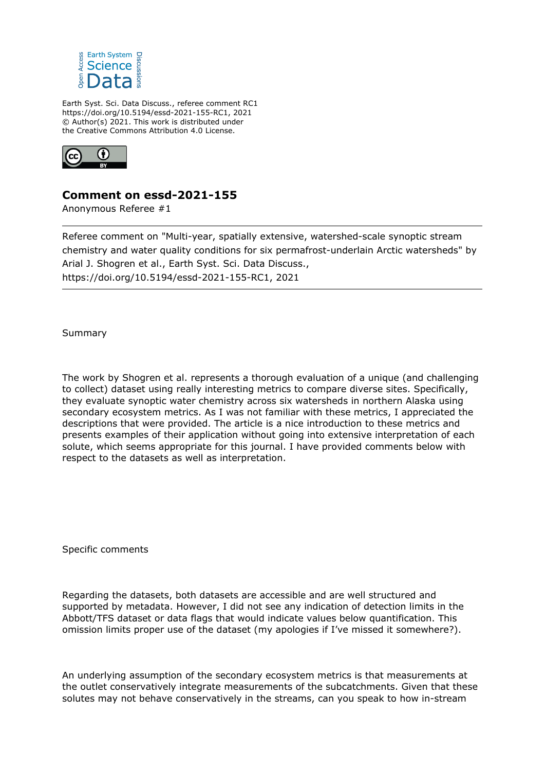

Earth Syst. Sci. Data Discuss., referee comment RC1 https://doi.org/10.5194/essd-2021-155-RC1, 2021 © Author(s) 2021. This work is distributed under the Creative Commons Attribution 4.0 License.



## **Comment on essd-2021-155**

Anonymous Referee #1

Referee comment on "Multi-year, spatially extensive, watershed-scale synoptic stream chemistry and water quality conditions for six permafrost-underlain Arctic watersheds" by Arial J. Shogren et al., Earth Syst. Sci. Data Discuss., https://doi.org/10.5194/essd-2021-155-RC1, 2021

Summary

The work by Shogren et al. represents a thorough evaluation of a unique (and challenging to collect) dataset using really interesting metrics to compare diverse sites. Specifically, they evaluate synoptic water chemistry across six watersheds in northern Alaska using secondary ecosystem metrics. As I was not familiar with these metrics, I appreciated the descriptions that were provided. The article is a nice introduction to these metrics and presents examples of their application without going into extensive interpretation of each solute, which seems appropriate for this journal. I have provided comments below with respect to the datasets as well as interpretation.

Specific comments

Regarding the datasets, both datasets are accessible and are well structured and supported by metadata. However, I did not see any indication of detection limits in the Abbott/TFS dataset or data flags that would indicate values below quantification. This omission limits proper use of the dataset (my apologies if I've missed it somewhere?).

An underlying assumption of the secondary ecosystem metrics is that measurements at the outlet conservatively integrate measurements of the subcatchments. Given that these solutes may not behave conservatively in the streams, can you speak to how in-stream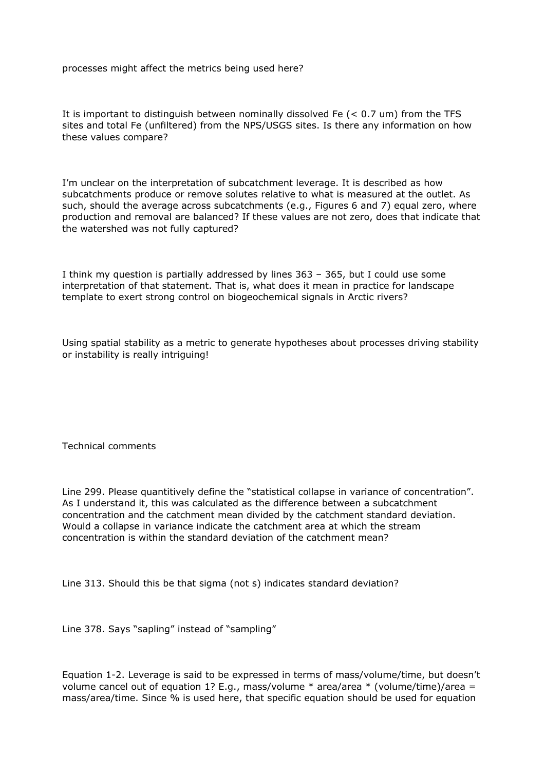processes might affect the metrics being used here?

It is important to distinguish between nominally dissolved Fe (< 0.7 um) from the TFS sites and total Fe (unfiltered) from the NPS/USGS sites. Is there any information on how these values compare?

I'm unclear on the interpretation of subcatchment leverage. It is described as how subcatchments produce or remove solutes relative to what is measured at the outlet. As such, should the average across subcatchments (e.g., Figures 6 and 7) equal zero, where production and removal are balanced? If these values are not zero, does that indicate that the watershed was not fully captured?

I think my question is partially addressed by lines 363 – 365, but I could use some interpretation of that statement. That is, what does it mean in practice for landscape template to exert strong control on biogeochemical signals in Arctic rivers?

Using spatial stability as a metric to generate hypotheses about processes driving stability or instability is really intriguing!

Technical comments

Line 299. Please quantitively define the "statistical collapse in variance of concentration". As I understand it, this was calculated as the difference between a subcatchment concentration and the catchment mean divided by the catchment standard deviation. Would a collapse in variance indicate the catchment area at which the stream concentration is within the standard deviation of the catchment mean?

Line 313. Should this be that sigma (not s) indicates standard deviation?

Line 378. Says "sapling" instead of "sampling"

Equation 1-2. Leverage is said to be expressed in terms of mass/volume/time, but doesn't volume cancel out of equation 1? E.g., mass/volume  $*$  area/area  $*$  (volume/time)/area = mass/area/time. Since % is used here, that specific equation should be used for equation